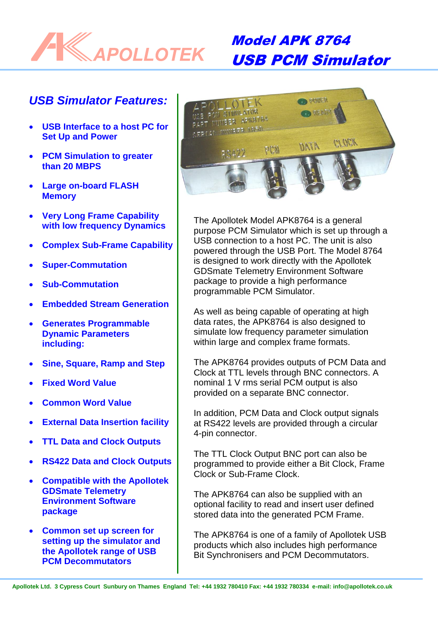

# Model APK 8764 USB PCM Simulator

## *USB Simulator Features:*

- **USB Interface to a host PC for Set Up and Power**
- **PCM Simulation to greater than 20 MBPS**
- **Large on-board FLASH Memory**
- **Very Long Frame Capability with low frequency Dynamics**
- **Complex Sub-Frame Capability**
- **Super-Commutation**
- **Sub-Commutation**
- **Embedded Stream Generation**
- **Generates Programmable Dynamic Parameters including:**
- **Sine, Square, Ramp and Step**
- **Fixed Word Value**
- **Common Word Value**
- **External Data Insertion facility**
- **TTL Data and Clock Outputs**
- **RS422 Data and Clock Outputs**
- **Compatible with the Apollotek GDSmate Telemetry Environment Software package**
- **Common set up screen for setting up the simulator and the Apollotek range of USB PCM Decommutators**



The Apollotek Model APK8764 is a general purpose PCM Simulator which is set up through a USB connection to a host PC. The unit is also powered through the USB Port. The Model 8764 is designed to work directly with the Apollotek GDSmate Telemetry Environment Software package to provide a high performance programmable PCM Simulator.

As well as being capable of operating at high data rates, the APK8764 is also designed to simulate low frequency parameter simulation within large and complex frame formats.

The APK8764 provides outputs of PCM Data and Clock at TTL levels through BNC connectors. A nominal 1 V rms serial PCM output is also provided on a separate BNC connector.

In addition, PCM Data and Clock output signals at RS422 levels are provided through a circular 4-pin connector.

The TTL Clock Output BNC port can also be programmed to provide either a Bit Clock, Frame Clock or Sub-Frame Clock.

The APK8764 can also be supplied with an optional facility to read and insert user defined stored data into the generated PCM Frame.

The APK8764 is one of a family of Apollotek USB products which also includes high performance Bit Synchronisers and PCM Decommutators.